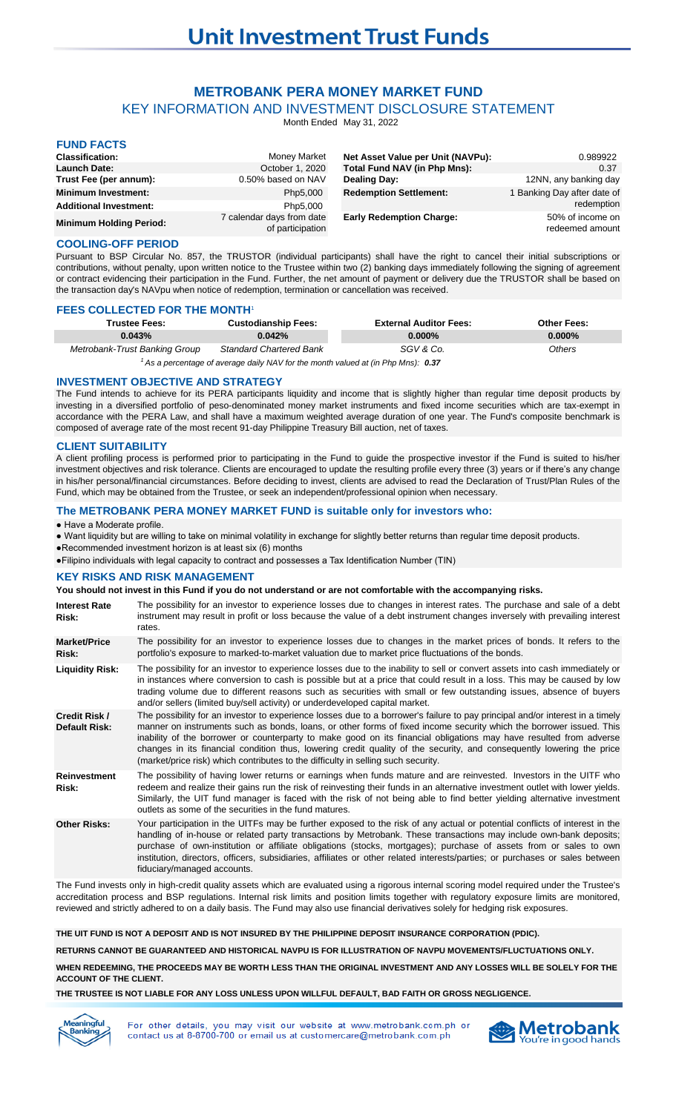# **METROBANK PERA MONEY MARKET FUND**

KEY INFORMATION AND INVESTMENT DISCLOSURE STATEMENT

Month Ended May 31, 2022

| <b>FUND FACTS</b>              |                                               |                                   |                                     |
|--------------------------------|-----------------------------------------------|-----------------------------------|-------------------------------------|
| <b>Classification:</b>         | Money Market                                  | Net Asset Value per Unit (NAVPu): | 0.989922                            |
| <b>Launch Date:</b>            | October 1, 2020                               | Total Fund NAV (in Php Mns):      | 0.37                                |
| Trust Fee (per annum):         | 0.50% based on NAV                            | <b>Dealing Day:</b>               | 12NN, any banking day               |
| <b>Minimum Investment:</b>     | Php5,000                                      | <b>Redemption Settlement:</b>     | 1 Banking Day after date of         |
| <b>Additional Investment:</b>  | Php5,000                                      |                                   | redemption                          |
| <b>Minimum Holding Period:</b> | 7 calendar days from date<br>of participation | <b>Early Redemption Charge:</b>   | 50% of income on<br>redeemed amount |

#### **COOLING-OFF PERIOD**

Pursuant to BSP Circular No. 857, the TRUSTOR (individual participants) shall have the right to cancel their initial subscriptions or contributions, without penalty, upon written notice to the Trustee within two (2) banking days immediately following the signing of agreement or contract evidencing their participation in the Fund. Further, the net amount of payment or delivery due the TRUSTOR shall be based on the transaction day's NAVpu when notice of redemption, termination or cancellation was received.

#### **FEES COLLECTED FOR THE MONTH**<sup>1</sup>

| Trustee Fees:                                                                     | <b>Custodianship Fees:</b>     | <b>External Auditor Fees:</b> | <b>Other Fees:</b> |
|-----------------------------------------------------------------------------------|--------------------------------|-------------------------------|--------------------|
| 0.043%                                                                            | 0.042%                         | $0.000\%$                     | $0.000\%$          |
| Metrobank-Trust Banking Group                                                     | <b>Standard Chartered Bank</b> | SGV & Co.                     | Others             |
| ' As a percentage of average daily NAV for the month valued at (in Php Mns): 0.37 |                                |                               |                    |

**INVESTMENT OBJECTIVE AND STRATEGY**

The Fund intends to achieve for its PERA participants liquidity and income that is slightly higher than regular time deposit products by investing in a diversified portfolio of peso-denominated money market instruments and fixed income securities which are tax-exempt in accordance with the PERA Law, and shall have a maximum weighted average duration of one year. The Fund's composite benchmark is composed of average rate of the most recent 91-day Philippine Treasury Bill auction, net of taxes.

## **CLIENT SUITABILITY**

A client profiling process is performed prior to participating in the Fund to guide the prospective investor if the Fund is suited to his/her investment objectives and risk tolerance. Clients are encouraged to update the resulting profile every three (3) years or if there's any change in his/her personal/financial circumstances. Before deciding to invest, clients are advised to read the Declaration of Trust/Plan Rules of the Fund, which may be obtained from the Trustee, or seek an independent/professional opinion when necessary.

#### **The METROBANK PERA MONEY MARKET FUND is suitable only for investors who:**

#### ● Have a Moderate profile.

- Want liquidity but are willing to take on minimal volatility in exchange for slightly better returns than regular time deposit products.
- ●Recommended investment horizon is at least six (6) months

●Filipino individuals with legal capacity to contract and possesses a Tax Identification Number (TIN)

#### **KEY RISKS AND RISK MANAGEMENT**

**You should not invest in this Fund if you do not understand or are not comfortable with the accompanying risks.**

| <b>Interest Rate</b><br>Risk:                | The possibility for an investor to experience losses due to changes in interest rates. The purchase and sale of a debt<br>instrument may result in profit or loss because the value of a debt instrument changes inversely with prevailing interest<br>rates.                                                                                                                                                                                                                                                                                                                            |
|----------------------------------------------|------------------------------------------------------------------------------------------------------------------------------------------------------------------------------------------------------------------------------------------------------------------------------------------------------------------------------------------------------------------------------------------------------------------------------------------------------------------------------------------------------------------------------------------------------------------------------------------|
| <b>Market/Price</b><br>Risk:                 | The possibility for an investor to experience losses due to changes in the market prices of bonds. It refers to the<br>portfolio's exposure to marked-to-market valuation due to market price fluctuations of the bonds.                                                                                                                                                                                                                                                                                                                                                                 |
| <b>Liquidity Risk:</b>                       | The possibility for an investor to experience losses due to the inability to sell or convert assets into cash immediately or<br>in instances where conversion to cash is possible but at a price that could result in a loss. This may be caused by low<br>trading volume due to different reasons such as securities with small or few outstanding issues, absence of buyers<br>and/or sellers (limited buy/sell activity) or underdeveloped capital market.                                                                                                                            |
| <b>Credit Risk /</b><br><b>Default Risk:</b> | The possibility for an investor to experience losses due to a borrower's failure to pay principal and/or interest in a timely<br>manner on instruments such as bonds, loans, or other forms of fixed income security which the borrower issued. This<br>inability of the borrower or counterparty to make good on its financial obligations may have resulted from adverse<br>changes in its financial condition thus, lowering credit quality of the security, and consequently lowering the price<br>(market/price risk) which contributes to the difficulty in selling such security. |
| <b>Reinvestment</b><br>Risk:                 | The possibility of having lower returns or earnings when funds mature and are reinvested. Investors in the UITF who<br>redeem and realize their gains run the risk of reinvesting their funds in an alternative investment outlet with lower yields.<br>Similarly, the UIT fund manager is faced with the risk of not being able to find better yielding alternative investment<br>outlets as some of the securities in the fund matures.                                                                                                                                                |
| <b>Other Risks:</b>                          | Your participation in the UITFs may be further exposed to the risk of any actual or potential conflicts of interest in the<br>handling of in-house or related party transactions by Metrobank. These transactions may include own-bank deposits;<br>purchase of own-institution or affiliate obligations (stocks, mortgages); purchase of assets from or sales to own<br>institution, directors, officers, subsidiaries, affiliates or other related interests/parties; or purchases or sales between<br>fiduciary/managed accounts.                                                     |

The Fund invests only in high-credit quality assets which are evaluated using a rigorous internal scoring model required under the Trustee's accreditation process and BSP regulations. Internal risk limits and position limits together with regulatory exposure limits are monitored, reviewed and strictly adhered to on a daily basis. The Fund may also use financial derivatives solely for hedging risk exposures.

**THE UIT FUND IS NOT A DEPOSIT AND IS NOT INSURED BY THE PHILIPPINE DEPOSIT INSURANCE CORPORATION (PDIC).**

**RETURNS CANNOT BE GUARANTEED AND HISTORICAL NAVPU IS FOR ILLUSTRATION OF NAVPU MOVEMENTS/FLUCTUATIONS ONLY.**

**WHEN REDEEMING, THE PROCEEDS MAY BE WORTH LESS THAN THE ORIGINAL INVESTMENT AND ANY LOSSES WILL BE SOLELY FOR THE ACCOUNT OF THE CLIENT.**

**THE TRUSTEE IS NOT LIABLE FOR ANY LOSS UNLESS UPON WILLFUL DEFAULT, BAD FAITH OR GROSS NEGLIGENCE.**



For other details, you may visit our website at www.metrobank.com.ph or contact us at 8-8700-700 or email us at customercare@metrobank.com.ph

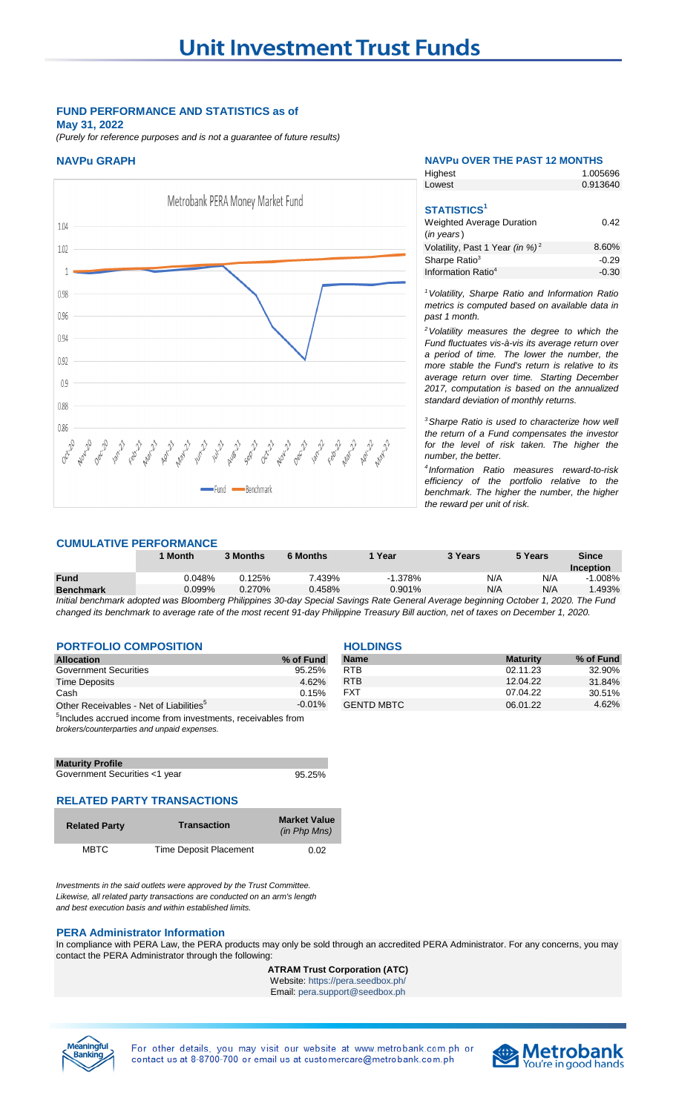## **FUND PERFORMANCE AND STATISTICS as of**

**May 31, 2022**

*(Purely for reference purposes and is not a guarantee of future results)*



## **NAVPu GRAPH NAVPu OVER THE PAST 12 MONTHS**

| Highest                                                                                   | 1.005696 |
|-------------------------------------------------------------------------------------------|----------|
| Lowest                                                                                    | 0.913640 |
| <b>STATISTICS<sup>1</sup></b><br><b>Weighted Average Duration</b><br>$(in \text{ years})$ | 0.42     |
| Volatility, Past 1 Year (in %) <sup>2</sup>                                               | 8.60%    |
| Sharpe Ratio <sup>3</sup>                                                                 | $-0.29$  |
| Information Ratio <sup>4</sup>                                                            | $-0.30$  |

*<sup>1</sup>Volatility, Sharpe Ratio and Information Ratio metrics is computed based on available data in past 1 month.*

*<sup>2</sup>Volatility measures the degree to which the Fund fluctuates vis-à-vis its average return over a period of time. The lower the number, the more stable the Fund's return is relative to its average return over time. Starting December 2017, computation is based on the annualized standard deviation of monthly returns.* 

*<sup>3</sup>Sharpe Ratio is used to characterize how well the return of a Fund compensates the investor for the level of risk taken. The higher the number, the better.*

*4 Information Ratio measures reward-to-risk efficiency of the portfolio relative to the benchmark. The higher the number, the higher the reward per unit of risk.*

## **CUMULATIVE PERFORMANCE**

|                  | 1 Month                                                                                                                             | 3 Months | <b>6 Months</b> | Year      | 3 Years | 5 Years | <b>Since</b> |
|------------------|-------------------------------------------------------------------------------------------------------------------------------------|----------|-----------------|-----------|---------|---------|--------------|
|                  |                                                                                                                                     |          |                 |           |         |         | Inception    |
| <b>Fund</b>      | 0.048%                                                                                                                              | 0.125%   | 7.439%          | $-1.378%$ | N/A     | N/A     | $-1.008\%$   |
| <b>Benchmark</b> | 0.099%                                                                                                                              | 0.270%   | 0.458%          | 0.901%    | N/A     | N/A     | .493%        |
|                  | Initial benchmark adopted was Bloomberg Philippines 30-day Special Savings Rate General Average beginning October 1, 2020. The Fund |          |                 |           |         |         |              |

*changed its benchmark to average rate of the most recent 91-day Philippine Treasury Bill auction, net of taxes on December 1, 2020.* 

## **PORTFOLIO COMPOSITION EXAMPLE 2001**

| <b>Allocation</b>                                                       | % of Fund | <b>Name</b>       | <b>Maturity</b> | % of Fund |  |
|-------------------------------------------------------------------------|-----------|-------------------|-----------------|-----------|--|
| <b>Government Securities</b>                                            | 95.25%    | <b>RTB</b>        | 02.11.23        | 32.90%    |  |
| <b>Time Deposits</b>                                                    | 4.62%     | <b>RTB</b>        | 12.04.22        | 31.84%    |  |
| Cash                                                                    | 0.15%     | <b>FXT</b>        | 07.04.22        | 30.51%    |  |
| Other Receivables - Net of Liabilities <sup>5</sup>                     | $-0.01\%$ | <b>GENTD MBTC</b> | 06.01.22        | 4.62%     |  |
| <sup>5</sup> Includes accrued income from investments, receivables from |           |                   |                 |           |  |
| brokers/counterparties and unpaid expenses.                             |           |                   |                 |           |  |

| <b>Maturity Profile</b>       |        |
|-------------------------------|--------|
| Government Securities <1 year | 95.25% |

## **RELATED PARTY TRANSACTIONS**

| <b>Related Party</b> | <b>Transaction</b>     | <b>Market Value</b><br>(in Php Mns) |
|----------------------|------------------------|-------------------------------------|
| <b>MBTC</b>          | Time Deposit Placement | 0.02                                |

*Investments in the said outlets were approved by the Trust Committee. Likewise, all related party transactions are conducted on an arm's length and best execution basis and within established limits.*

#### **PERA Administrator Information**

In compliance with PERA Law, the PERA products may only be sold through an accredited PERA Administrator. For any concerns, you may contact the PERA Administrator through the following:

#### **ATRAM Trust Corporation (ATC)** Website: https://pera.seedbox.ph/

Email: pera.support@seedbox.ph



For other details, you may visit our website at www.metrobank.com.ph or contact us at 8-8700-700 or email us at customercare@metrobank.com.ph